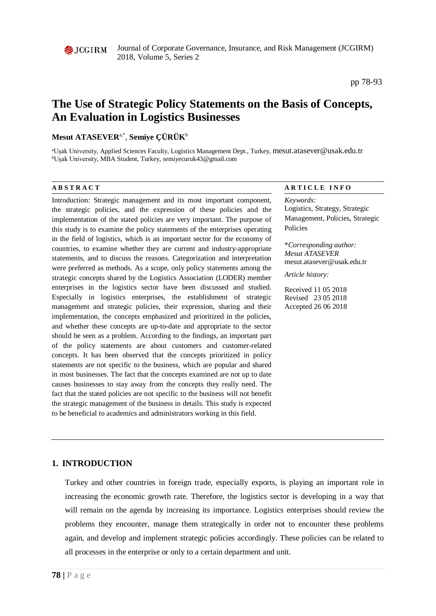

Journal of Corporate Governance, Insurance, and Risk Management (JCGIRM) 2018, Volume 5, Series 2

pp 78-93

# **The Use of Strategic Policy Statements on the Basis of Concepts, An Evaluation in Logistics Businesses**

# **Mesut ATASEVER**a,\*, **Semiye ÇÜRÜK**<sup>b</sup>

a Uşak University, Applied Sciences Faculty, Logistics Management Dept., Turkey, mesut.atasever@usak.edu.tr b Uşak University, MBA Student, Turkey, semiyecuruk43@gmail.com

Introduction: Strategic management and its most important component, the strategic policies, and the expression of these policies and the implementation of the stated policies are very important. The purpose of this study is to examine the policy statements of the enterprises operating in the field of logistics, which is an important sector for the economy of countries, to examine whether they are current and industry-appropriate statements, and to discuss the reasons. Categorization and interpretation were preferred as methods. As a scope, only policy statements among the strategic concepts shared by the Logistics Association (LODER) member enterprises in the logistics sector have been discussed and studied. Especially in logistics enterprises, the establishment of strategic management and strategic policies, their expression, sharing and their implementation, the concepts emphasized and prioritized in the policies, and whether these concepts are up-to-date and appropriate to the sector should be seen as a problem. According to the findings, an important part of the policy statements are about customers and customer-related concepts. It has been observed that the concepts prioritized in policy statements are not specific to the business, which are popular and shared in most businesses. The fact that the concepts examined are not up to date causes businesses to stay away from the concepts they really need. The fact that the stated policies are not specific to the business will not benefit the strategic management of the business in details. This study is expected to be beneficial to academics and administrators working in this field.

#### **A B S T R A C T A R T I C L E I N F O**

*Keywords:* Logistics, Strategy, Strategic Management, Policies, Strategic Policies

\**Corresponding author: Mesut ATASEVER* mesut.atasever@usak.edu.tr

*Article history:* 

Received 11 05 2018 Revised 23 05 2018 Accepted 26 06 2018

# **1. INTRODUCTION**

Turkey and other countries in foreign trade, especially exports, is playing an important role in increasing the economic growth rate. Therefore, the logistics sector is developing in a way that will remain on the agenda by increasing its importance. Logistics enterprises should review the problems they encounter, manage them strategically in order not to encounter these problems again, and develop and implement strategic policies accordingly. These policies can be related to all processes in the enterprise or only to a certain department and unit.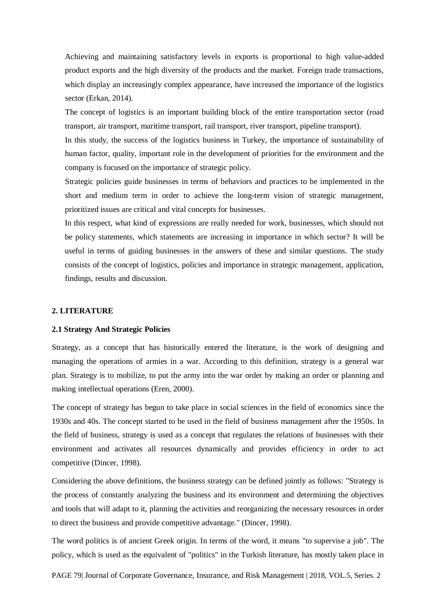Achieving and maintaining satisfactory levels in exports is proportional to high value-added product exports and the high diversity of the products and the market. Foreign trade transactions, which display an increasingly complex appearance, have increased the importance of the logistics sector (Erkan, 2014).

The concept of logistics is an important building block of the entire transportation sector (road transport, air transport, maritime transport, rail transport, river transport, pipeline transport).

In this study, the success of the logistics business in Turkey, the importance of sustainability of human factor, quality, important role in the development of priorities for the environment and the company is focused on the importance of strategic policy.

Strategic policies guide businesses in terms of behaviors and practices to be implemented in the short and medium term in order to achieve the long-term vision of strategic management, prioritized issues are critical and vital concepts for businesses.

In this respect, what kind of expressions are really needed for work, businesses, which should not be policy statements, which statements are increasing in importance in which sector? It will be useful in terms of guiding businesses in the answers of these and similar questions. The study consists of the concept of logistics, policies and importance in strategic management, application, findings, results and discussion.

# **2. LITERATURE**

#### **2.1 Strategy And Strategic Policies**

Strategy, as a concept that has historically entered the literature, is the work of designing and managing the operations of armies in a war. According to this definition, strategy is a general war plan. Strategy is to mobilize, to put the army into the war order by making an order or planning and making intellectual operations (Eren, 2000).

The concept of strategy has begun to take place in social sciences in the field of economics since the 1930s and 40s. The concept started to be used in the field of business management after the 1950s. In the field of business, strategy is used as a concept that regulates the relations of businesses with their environment and activates all resources dynamically and provides efficiency in order to act competitive (Dincer, 1998).

Considering the above definitions, the business strategy can be defined jointly as follows: "Strategy is the process of constantly analyzing the business and its environment and determining the objectives and tools that will adapt to it, planning the activities and reorganizing the necessary resources in order to direct the business and provide competitive advantage." (Dincer, 1998).

The word politics is of ancient Greek origin. In terms of the word, it means "to supervise a job". The policy, which is used as the equivalent of "politics" in the Turkish literature, has mostly taken place in

PAGE 79| Journal of Corporate Governance, Insurance, and Risk Management | 2018, VOL.5, Series. 2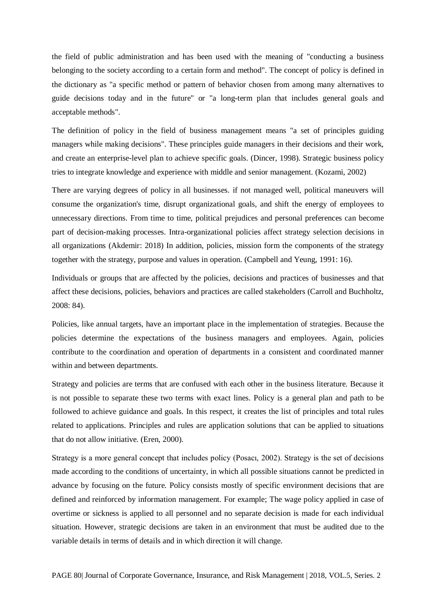the field of public administration and has been used with the meaning of "conducting a business belonging to the society according to a certain form and method". The concept of policy is defined in the dictionary as "a specific method or pattern of behavior chosen from among many alternatives to guide decisions today and in the future" or "a long-term plan that includes general goals and acceptable methods".

The definition of policy in the field of business management means "a set of principles guiding managers while making decisions". These principles guide managers in their decisions and their work, and create an enterprise-level plan to achieve specific goals. (Dincer, 1998). Strategic business policy tries to integrate knowledge and experience with middle and senior management. (Kozami, 2002)

There are varying degrees of policy in all businesses. if not managed well, political maneuvers will consume the organization's time, disrupt organizational goals, and shift the energy of employees to unnecessary directions. From time to time, political prejudices and personal preferences can become part of decision-making processes. Intra-organizational policies affect strategy selection decisions in all organizations (Akdemir: 2018) In addition, policies, mission form the components of the strategy together with the strategy, purpose and values in operation. (Campbell and Yeung, 1991: 16).

Individuals or groups that are affected by the policies, decisions and practices of businesses and that affect these decisions, policies, behaviors and practices are called stakeholders (Carroll and Buchholtz, 2008: 84).

Policies, like annual targets, have an important place in the implementation of strategies. Because the policies determine the expectations of the business managers and employees. Again, policies contribute to the coordination and operation of departments in a consistent and coordinated manner within and between departments.

Strategy and policies are terms that are confused with each other in the business literature. Because it is not possible to separate these two terms with exact lines. Policy is a general plan and path to be followed to achieve guidance and goals. In this respect, it creates the list of principles and total rules related to applications. Principles and rules are application solutions that can be applied to situations that do not allow initiative. (Eren, 2000).

Strategy is a more general concept that includes policy (Posacı, 2002). Strategy is the set of decisions made according to the conditions of uncertainty, in which all possible situations cannot be predicted in advance by focusing on the future. Policy consists mostly of specific environment decisions that are defined and reinforced by information management. For example; The wage policy applied in case of overtime or sickness is applied to all personnel and no separate decision is made for each individual situation. However, strategic decisions are taken in an environment that must be audited due to the variable details in terms of details and in which direction it will change.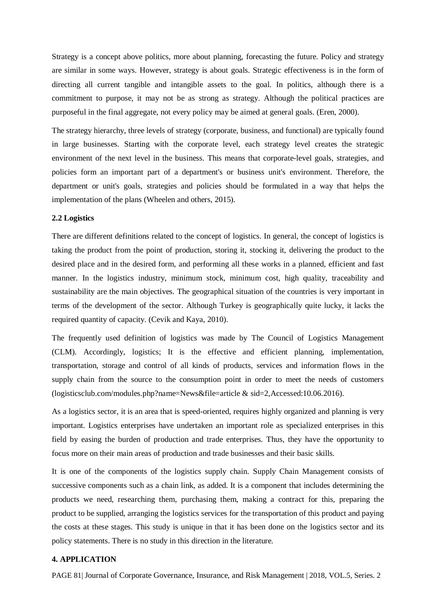Strategy is a concept above politics, more about planning, forecasting the future. Policy and strategy are similar in some ways. However, strategy is about goals. Strategic effectiveness is in the form of directing all current tangible and intangible assets to the goal. In politics, although there is a commitment to purpose, it may not be as strong as strategy. Although the political practices are purposeful in the final aggregate, not every policy may be aimed at general goals. (Eren, 2000).

The strategy hierarchy, three levels of strategy (corporate, business, and functional) are typically found in large businesses. Starting with the corporate level, each strategy level creates the strategic environment of the next level in the business. This means that corporate-level goals, strategies, and policies form an important part of a department's or business unit's environment. Therefore, the department or unit's goals, strategies and policies should be formulated in a way that helps the implementation of the plans (Wheelen and others, 2015).

# **2.2 Logistics**

There are different definitions related to the concept of logistics. In general, the concept of logistics is taking the product from the point of production, storing it, stocking it, delivering the product to the desired place and in the desired form, and performing all these works in a planned, efficient and fast manner. In the logistics industry, minimum stock, minimum cost, high quality, traceability and sustainability are the main objectives. The geographical situation of the countries is very important in terms of the development of the sector. Although Turkey is geographically quite lucky, it lacks the required quantity of capacity. (Cevik and Kaya, 2010).

The frequently used definition of logistics was made by The Council of Logistics Management (CLM). Accordingly, logistics; It is the effective and efficient planning, implementation, transportation, storage and control of all kinds of products, services and information flows in the supply chain from the source to the consumption point in order to meet the needs of customers (logisticsclub.com/modules.php?name=News&file=article & sid=2,Accessed:10.06.2016).

As a logistics sector, it is an area that is speed-oriented, requires highly organized and planning is very important. Logistics enterprises have undertaken an important role as specialized enterprises in this field by easing the burden of production and trade enterprises. Thus, they have the opportunity to focus more on their main areas of production and trade businesses and their basic skills.

It is one of the components of the logistics supply chain. Supply Chain Management consists of successive components such as a chain link, as added. It is a component that includes determining the products we need, researching them, purchasing them, making a contract for this, preparing the product to be supplied, arranging the logistics services for the transportation of this product and paying the costs at these stages. This study is unique in that it has been done on the logistics sector and its policy statements. There is no study in this direction in the literature.

# **4. APPLICATION**

PAGE 81| Journal of Corporate Governance, Insurance, and Risk Management | 2018, VOL.5, Series. 2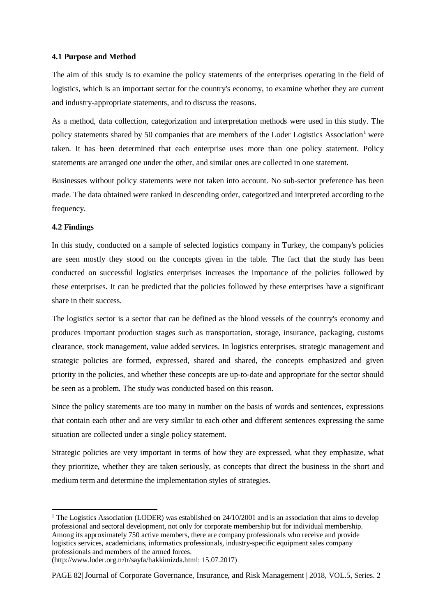# **4.1 Purpose and Method**

The aim of this study is to examine the policy statements of the enterprises operating in the field of logistics, which is an important sector for the country's economy, to examine whether they are current and industry-appropriate statements, and to discuss the reasons.

As a method, data collection, categorization and interpretation methods were used in this study. The policy statements shared by 50 companies that are members of the Loder Logistics Association<sup>[1](#page-4-0)</sup> were taken. It has been determined that each enterprise uses more than one policy statement. Policy statements are arranged one under the other, and similar ones are collected in one statement.

Businesses without policy statements were not taken into account. No sub-sector preference has been made. The data obtained were ranked in descending order, categorized and interpreted according to the frequency.

# **4.2 Findings**

 $\overline{a}$ 

In this study, conducted on a sample of selected logistics company in Turkey, the company's policies are seen mostly they stood on the concepts given in the table. The fact that the study has been conducted on successful logistics enterprises increases the importance of the policies followed by these enterprises. It can be predicted that the policies followed by these enterprises have a significant share in their success.

The logistics sector is a sector that can be defined as the blood vessels of the country's economy and produces important production stages such as transportation, storage, insurance, packaging, customs clearance, stock management, value added services. In logistics enterprises, strategic management and strategic policies are formed, expressed, shared and shared, the concepts emphasized and given priority in the policies, and whether these concepts are up-to-date and appropriate for the sector should be seen as a problem. The study was conducted based on this reason.

Since the policy statements are too many in number on the basis of words and sentences, expressions that contain each other and are very similar to each other and different sentences expressing the same situation are collected under a single policy statement.

Strategic policies are very important in terms of how they are expressed, what they emphasize, what they prioritize, whether they are taken seriously, as concepts that direct the business in the short and medium term and determine the implementation styles of strategies.

<span id="page-4-0"></span><sup>&</sup>lt;sup>1</sup> The Logistics Association (LODER) was established on  $24/10/2001$  and is an association that aims to develop professional and sectoral development, not only for corporate membership but for individual membership. Among its approximately 750 active members, there are company professionals who receive and provide logistics services, academicians, informatics professionals, industry-specific equipment sales company professionals and members of the armed forces.

<sup>(</sup>http://www.loder.org.tr/tr/sayfa/hakkimizda.html: 15.07.2017)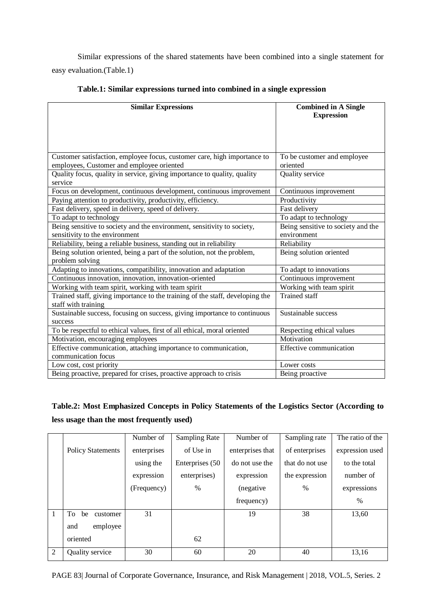Similar expressions of the shared statements have been combined into a single statement for easy evaluation.(Table.1)

| <b>Similar Expressions</b>                                                    | <b>Combined in A Single</b>        |  |  |
|-------------------------------------------------------------------------------|------------------------------------|--|--|
|                                                                               | <b>Expression</b>                  |  |  |
|                                                                               |                                    |  |  |
|                                                                               |                                    |  |  |
|                                                                               |                                    |  |  |
| Customer satisfaction, employee focus, customer care, high importance to      | To be customer and employee        |  |  |
| employees, Customer and employee oriented                                     | oriented                           |  |  |
| Quality focus, quality in service, giving importance to quality, quality      | Quality service                    |  |  |
| service                                                                       |                                    |  |  |
| Focus on development, continuous development, continuous improvement          | Continuous improvement             |  |  |
| Paying attention to productivity, productivity, efficiency.                   | Productivity                       |  |  |
| Fast delivery, speed in delivery, speed of delivery.                          | Fast delivery                      |  |  |
| To adapt to technology                                                        | To adapt to technology             |  |  |
| Being sensitive to society and the environment, sensitivity to society,       | Being sensitive to society and the |  |  |
| sensitivity to the environment                                                | environment                        |  |  |
| Reliability, being a reliable business, standing out in reliability           | Reliability                        |  |  |
| Being solution oriented, being a part of the solution, not the problem,       | Being solution oriented            |  |  |
| problem solving                                                               |                                    |  |  |
| Adapting to innovations, compatibility, innovation and adaptation             | To adapt to innovations            |  |  |
| Continuous innovation, innovation, innovation-oriented                        | Continuous improvement             |  |  |
| Working with team spirit, working with team spirit                            | Working with team spirit           |  |  |
| Trained staff, giving importance to the training of the staff, developing the | <b>Trained staff</b>               |  |  |
| staff with training                                                           |                                    |  |  |
| Sustainable success, focusing on success, giving importance to continuous     | Sustainable success                |  |  |
| success                                                                       |                                    |  |  |
| To be respectful to ethical values, first of all ethical, moral oriented      | Respecting ethical values          |  |  |
| Motivation, encouraging employees                                             | Motivation                         |  |  |
| Effective communication, attaching importance to communication,               | Effective communication            |  |  |
| communication focus                                                           |                                    |  |  |
| Low cost, cost priority                                                       | Lower costs                        |  |  |
| Being proactive, prepared for crises, proactive approach to crisis            | Being proactive                    |  |  |

# **Table.1: Similar expressions turned into combined in a single expression**

# **Table.2: Most Emphasized Concepts in Policy Statements of the Logistics Sector (According to less usage than the most frequently used)**

|              |                          | Number of   | <b>Sampling Rate</b> | Number of        | Sampling rate   | The ratio of the |
|--------------|--------------------------|-------------|----------------------|------------------|-----------------|------------------|
|              | <b>Policy Statements</b> | enterprises | of Use in            | enterprises that | of enterprises  | expression used  |
|              |                          | using the   | Enterprises (50      | do not use the   | that do not use | to the total     |
|              |                          | expression  | enterprises)         | expression       | the expression  | number of        |
|              |                          | (Frequency) | $\%$                 | (negative)       | $\%$            | expressions      |
|              |                          |             |                      | frequency)       |                 | $\%$             |
| $\mathbf{1}$ | To be<br>customer        | 31          |                      | 19               | 38              | 13,60            |
|              | employee<br>and          |             |                      |                  |                 |                  |
|              | oriented                 |             | 62                   |                  |                 |                  |
| 2            | Quality service          | 30          | 60                   | 20               | 40              | 13,16            |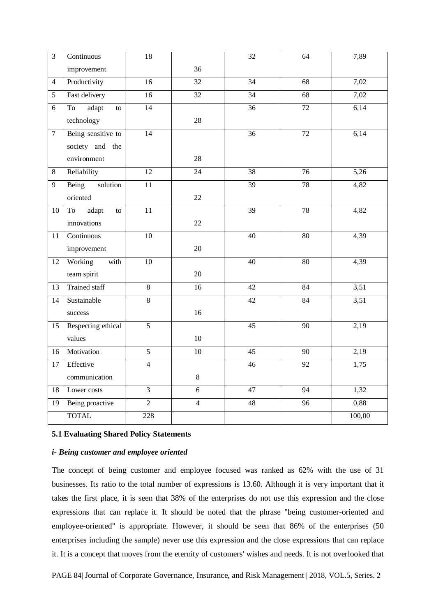| $\overline{3}$  | Continuous           | 18              |                 | 32              | 64              | 7,89   |
|-----------------|----------------------|-----------------|-----------------|-----------------|-----------------|--------|
|                 | improvement          |                 | 36              |                 |                 |        |
| $\overline{4}$  | Productivity         | 16              | $\overline{32}$ | $\overline{34}$ | 68              | 7,02   |
| 5               | Fast delivery        | 16              | $\overline{32}$ | 34              | 68              | 7,02   |
| 6               | adapt<br>To<br>to    | $\overline{14}$ |                 | $\overline{36}$ | $\overline{72}$ | 6,14   |
|                 | technology           |                 | $28\,$          |                 |                 |        |
| $\overline{7}$  | Being sensitive to   | 14              |                 | 36              | 72              | 6,14   |
|                 | society and the      |                 |                 |                 |                 |        |
|                 | environment          |                 | 28              |                 |                 |        |
| $8\,$           | Reliability          | 12              | $\overline{24}$ | 38              | 76              | 5,26   |
| 9               | Being<br>solution    | $\overline{11}$ |                 | 39              | $\overline{78}$ | 4,82   |
|                 | oriented             |                 | 22              |                 |                 |        |
| 10              | adapt<br>To<br>to    | $\overline{11}$ |                 | $\overline{39}$ | $\overline{78}$ | 4,82   |
|                 | innovations          |                 | 22              |                 |                 |        |
| 11              | Continuous           | $10\,$          |                 | 40              | $80\,$          | 4,39   |
|                 | improvement          |                 | 20              |                 |                 |        |
| 12              | Working<br>with      | $\overline{10}$ |                 | $\overline{40}$ | 80              | 4,39   |
|                 | team spirit          |                 | 20              |                 |                 |        |
| 13              | <b>Trained staff</b> | $\overline{8}$  | 16              | $\overline{42}$ | 84              | 3,51   |
| 14              | Sustainable          | $\overline{8}$  |                 | 42              | 84              | 3,51   |
|                 | success              |                 | 16              |                 |                 |        |
| 15              | Respecting ethical   | $\overline{5}$  |                 | $\overline{45}$ | $\overline{90}$ | 2,19   |
|                 | values               |                 | 10              |                 |                 |        |
| 16              | Motivation           | $\overline{5}$  | $10\,$          | 45              | 90              | 2,19   |
| $\overline{17}$ | Effective            | $\overline{4}$  |                 | $\overline{46}$ | $\overline{92}$ | 1,75   |
|                 | communication        |                 | $8\,$           |                 |                 |        |
| 18              | Lower costs          | $\overline{3}$  | $\overline{6}$  | 47              | 94              | 1,32   |
| 19              | Being proactive      | $\overline{2}$  | $\overline{4}$  | $\overline{48}$ | 96              | 0,88   |
|                 | <b>TOTAL</b>         | 228             |                 |                 |                 | 100,00 |

# **5.1 Evaluating Shared Policy Statements**

# *i- Being customer and employee oriented*

The concept of being customer and employee focused was ranked as 62% with the use of 31 businesses. Its ratio to the total number of expressions is 13.60. Although it is very important that it takes the first place, it is seen that 38% of the enterprises do not use this expression and the close expressions that can replace it. It should be noted that the phrase "being customer-oriented and employee-oriented" is appropriate. However, it should be seen that 86% of the enterprises (50 enterprises including the sample) never use this expression and the close expressions that can replace it. It is a concept that moves from the eternity of customers' wishes and needs. It is not overlooked that

PAGE 84| Journal of Corporate Governance, Insurance, and Risk Management | 2018, VOL.5, Series. 2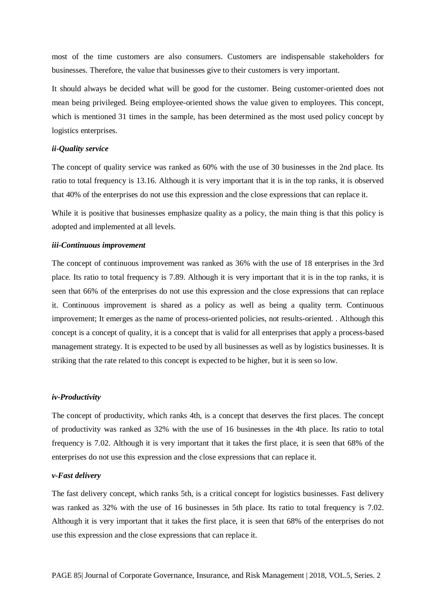most of the time customers are also consumers. Customers are indispensable stakeholders for businesses. Therefore, the value that businesses give to their customers is very important.

It should always be decided what will be good for the customer. Being customer-oriented does not mean being privileged. Being employee-oriented shows the value given to employees. This concept, which is mentioned 31 times in the sample, has been determined as the most used policy concept by logistics enterprises.

# *ii-Quality service*

The concept of quality service was ranked as 60% with the use of 30 businesses in the 2nd place. Its ratio to total frequency is 13.16. Although it is very important that it is in the top ranks, it is observed that 40% of the enterprises do not use this expression and the close expressions that can replace it.

While it is positive that businesses emphasize quality as a policy, the main thing is that this policy is adopted and implemented at all levels.

### *iii-Continuous improvement*

The concept of continuous improvement was ranked as 36% with the use of 18 enterprises in the 3rd place. Its ratio to total frequency is 7.89. Although it is very important that it is in the top ranks, it is seen that 66% of the enterprises do not use this expression and the close expressions that can replace it. Continuous improvement is shared as a policy as well as being a quality term. Continuous improvement; It emerges as the name of process-oriented policies, not results-oriented. . Although this concept is a concept of quality, it is a concept that is valid for all enterprises that apply a process-based management strategy. It is expected to be used by all businesses as well as by logistics businesses. It is striking that the rate related to this concept is expected to be higher, but it is seen so low.

#### *iv-Productivity*

The concept of productivity, which ranks 4th, is a concept that deserves the first places. The concept of productivity was ranked as 32% with the use of 16 businesses in the 4th place. Its ratio to total frequency is 7.02. Although it is very important that it takes the first place, it is seen that 68% of the enterprises do not use this expression and the close expressions that can replace it.

#### *v-Fast delivery*

The fast delivery concept, which ranks 5th, is a critical concept for logistics businesses. Fast delivery was ranked as 32% with the use of 16 businesses in 5th place. Its ratio to total frequency is 7.02. Although it is very important that it takes the first place, it is seen that 68% of the enterprises do not use this expression and the close expressions that can replace it.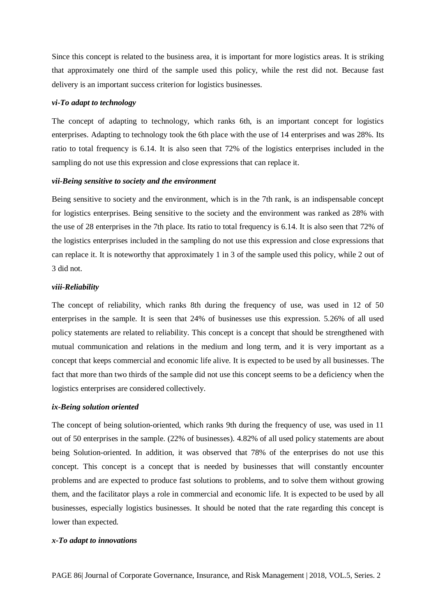Since this concept is related to the business area, it is important for more logistics areas. It is striking that approximately one third of the sample used this policy, while the rest did not. Because fast delivery is an important success criterion for logistics businesses.

### *vi-To adapt to technology*

The concept of adapting to technology, which ranks 6th, is an important concept for logistics enterprises. Adapting to technology took the 6th place with the use of 14 enterprises and was 28%. Its ratio to total frequency is 6.14. It is also seen that 72% of the logistics enterprises included in the sampling do not use this expression and close expressions that can replace it.

# *vii-Being sensitive to society and the environment*

Being sensitive to society and the environment, which is in the 7th rank, is an indispensable concept for logistics enterprises. Being sensitive to the society and the environment was ranked as 28% with the use of 28 enterprises in the 7th place. Its ratio to total frequency is 6.14. It is also seen that 72% of the logistics enterprises included in the sampling do not use this expression and close expressions that can replace it. It is noteworthy that approximately 1 in 3 of the sample used this policy, while 2 out of 3 did not.

### *viii-Reliability*

The concept of reliability, which ranks 8th during the frequency of use, was used in 12 of 50 enterprises in the sample. It is seen that 24% of businesses use this expression. 5.26% of all used policy statements are related to reliability. This concept is a concept that should be strengthened with mutual communication and relations in the medium and long term, and it is very important as a concept that keeps commercial and economic life alive. It is expected to be used by all businesses. The fact that more than two thirds of the sample did not use this concept seems to be a deficiency when the logistics enterprises are considered collectively.

#### *ix-Being solution oriented*

The concept of being solution-oriented, which ranks 9th during the frequency of use, was used in 11 out of 50 enterprises in the sample. (22% of businesses). 4.82% of all used policy statements are about being Solution-oriented. In addition, it was observed that 78% of the enterprises do not use this concept. This concept is a concept that is needed by businesses that will constantly encounter problems and are expected to produce fast solutions to problems, and to solve them without growing them, and the facilitator plays a role in commercial and economic life. It is expected to be used by all businesses, especially logistics businesses. It should be noted that the rate regarding this concept is lower than expected.

# *x-To adapt to innovations*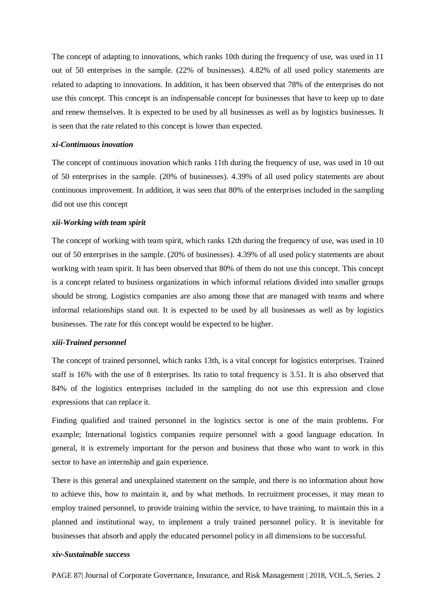The concept of adapting to innovations, which ranks 10th during the frequency of use, was used in 11 out of 50 enterprises in the sample. (22% of businesses). 4.82% of all used policy statements are related to adapting to innovations. In addition, it has been observed that 78% of the enterprises do not use this concept. This concept is an indispensable concept for businesses that have to keep up to date and renew themselves. It is expected to be used by all businesses as well as by logistics businesses. It is seen that the rate related to this concept is lower than expected.

### *xi-Continuous inovation*

The concept of continuous inovation which ranks 11th during the frequency of use, was used in 10 out of 50 enterprises in the sample. (20% of businesses). 4.39% of all used policy statements are about continuous improvement. In addition, it was seen that 80% of the enterprises included in the sampling did not use this concept

# *xii-Working with team spirit*

The concept of working with team spirit, which ranks 12th during the frequency of use, was used in 10 out of 50 enterprises in the sample. (20% of businesses). 4.39% of all used policy statements are about working with team spirit. It has been observed that 80% of them do not use this concept. This concept is a concept related to business organizations in which informal relations divided into smaller groups should be strong. Logistics companies are also among those that are managed with teams and where informal relationships stand out. It is expected to be used by all businesses as well as by logistics businesses. The rate for this concept would be expected to be higher.

#### *xiii-Trained personnel*

The concept of trained personnel, which ranks 13th, is a vital concept for logistics enterprises. Trained staff is 16% with the use of 8 enterprises. Its ratio to total frequency is 3.51. It is also observed that 84% of the logistics enterprises included in the sampling do not use this expression and close expressions that can replace it.

Finding qualified and trained personnel in the logistics sector is one of the main problems. For example; International logistics companies require personnel with a good language education. In general, it is extremely important for the person and business that those who want to work in this sector to have an internship and gain experience.

There is this general and unexplained statement on the sample, and there is no information about how to achieve this, how to maintain it, and by what methods. In recruitment processes, it may mean to employ trained personnel, to provide training within the service, to have training, to maintain this in a planned and institutional way, to implement a truly trained personnel policy. It is inevitable for businesses that absorb and apply the educated personnel policy in all dimensions to be successful.

#### *xiv-Sustainable success*

PAGE 87| Journal of Corporate Governance, Insurance, and Risk Management | 2018, VOL.5, Series. 2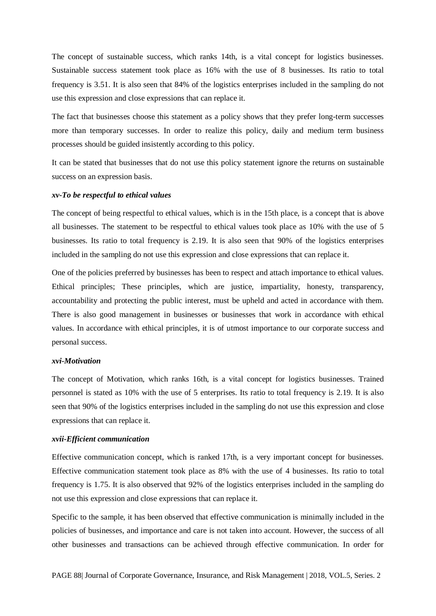The concept of sustainable success, which ranks 14th, is a vital concept for logistics businesses. Sustainable success statement took place as 16% with the use of 8 businesses. Its ratio to total frequency is 3.51. It is also seen that 84% of the logistics enterprises included in the sampling do not use this expression and close expressions that can replace it.

The fact that businesses choose this statement as a policy shows that they prefer long-term successes more than temporary successes. In order to realize this policy, daily and medium term business processes should be guided insistently according to this policy.

It can be stated that businesses that do not use this policy statement ignore the returns on sustainable success on an expression basis.

#### *xv-To be respectful to ethical values*

The concept of being respectful to ethical values, which is in the 15th place, is a concept that is above all businesses. The statement to be respectful to ethical values took place as 10% with the use of 5 businesses. Its ratio to total frequency is 2.19. It is also seen that 90% of the logistics enterprises included in the sampling do not use this expression and close expressions that can replace it.

One of the policies preferred by businesses has been to respect and attach importance to ethical values. Ethical principles; These principles, which are justice, impartiality, honesty, transparency, accountability and protecting the public interest, must be upheld and acted in accordance with them. There is also good management in businesses or businesses that work in accordance with ethical values. In accordance with ethical principles, it is of utmost importance to our corporate success and personal success.

#### *xvi-Motivation*

The concept of Motivation, which ranks 16th, is a vital concept for logistics businesses. Trained personnel is stated as 10% with the use of 5 enterprises. Its ratio to total frequency is 2.19. It is also seen that 90% of the logistics enterprises included in the sampling do not use this expression and close expressions that can replace it.

#### *xvii-Efficient communication*

Effective communication concept, which is ranked 17th, is a very important concept for businesses. Effective communication statement took place as 8% with the use of 4 businesses. Its ratio to total frequency is 1.75. It is also observed that 92% of the logistics enterprises included in the sampling do not use this expression and close expressions that can replace it.

Specific to the sample, it has been observed that effective communication is minimally included in the policies of businesses, and importance and care is not taken into account. However, the success of all other businesses and transactions can be achieved through effective communication. In order for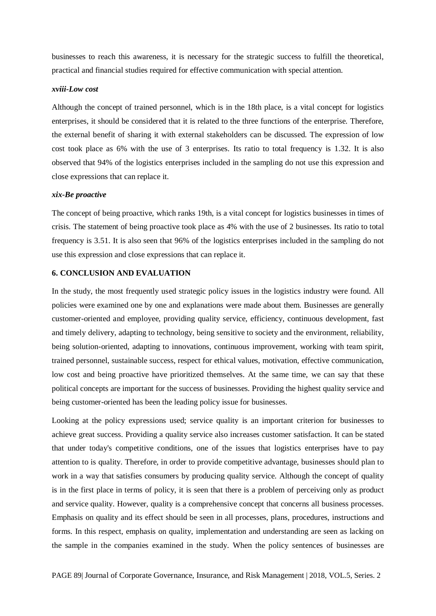businesses to reach this awareness, it is necessary for the strategic success to fulfill the theoretical, practical and financial studies required for effective communication with special attention.

#### *xviii-Low cost*

Although the concept of trained personnel, which is in the 18th place, is a vital concept for logistics enterprises, it should be considered that it is related to the three functions of the enterprise. Therefore, the external benefit of sharing it with external stakeholders can be discussed. The expression of low cost took place as 6% with the use of 3 enterprises. Its ratio to total frequency is 1.32. It is also observed that 94% of the logistics enterprises included in the sampling do not use this expression and close expressions that can replace it.

#### *xix-Be proactive*

The concept of being proactive, which ranks 19th, is a vital concept for logistics businesses in times of crisis. The statement of being proactive took place as 4% with the use of 2 businesses. Its ratio to total frequency is 3.51. It is also seen that 96% of the logistics enterprises included in the sampling do not use this expression and close expressions that can replace it.

# **6. CONCLUSION AND EVALUATION**

In the study, the most frequently used strategic policy issues in the logistics industry were found. All policies were examined one by one and explanations were made about them. Businesses are generally customer-oriented and employee, providing quality service, efficiency, continuous development, fast and timely delivery, adapting to technology, being sensitive to society and the environment, reliability, being solution-oriented, adapting to innovations, continuous improvement, working with team spirit, trained personnel, sustainable success, respect for ethical values, motivation, effective communication, low cost and being proactive have prioritized themselves. At the same time, we can say that these political concepts are important for the success of businesses. Providing the highest quality service and being customer-oriented has been the leading policy issue for businesses.

Looking at the policy expressions used; service quality is an important criterion for businesses to achieve great success. Providing a quality service also increases customer satisfaction. It can be stated that under today's competitive conditions, one of the issues that logistics enterprises have to pay attention to is quality. Therefore, in order to provide competitive advantage, businesses should plan to work in a way that satisfies consumers by producing quality service. Although the concept of quality is in the first place in terms of policy, it is seen that there is a problem of perceiving only as product and service quality. However, quality is a comprehensive concept that concerns all business processes. Emphasis on quality and its effect should be seen in all processes, plans, procedures, instructions and forms. In this respect, emphasis on quality, implementation and understanding are seen as lacking on the sample in the companies examined in the study. When the policy sentences of businesses are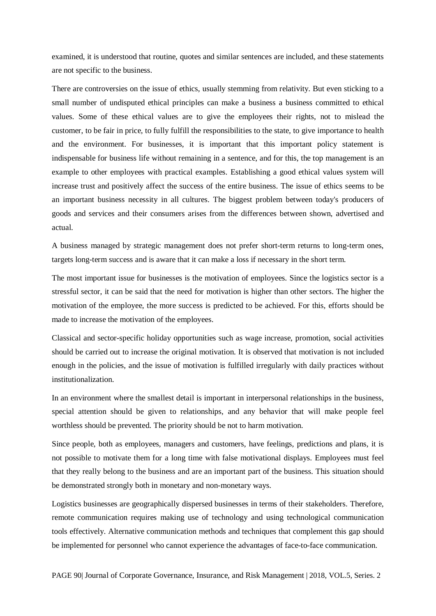examined, it is understood that routine, quotes and similar sentences are included, and these statements are not specific to the business.

There are controversies on the issue of ethics, usually stemming from relativity. But even sticking to a small number of undisputed ethical principles can make a business a business committed to ethical values. Some of these ethical values are to give the employees their rights, not to mislead the customer, to be fair in price, to fully fulfill the responsibilities to the state, to give importance to health and the environment. For businesses, it is important that this important policy statement is indispensable for business life without remaining in a sentence, and for this, the top management is an example to other employees with practical examples. Establishing a good ethical values system will increase trust and positively affect the success of the entire business. The issue of ethics seems to be an important business necessity in all cultures. The biggest problem between today's producers of goods and services and their consumers arises from the differences between shown, advertised and actual.

A business managed by strategic management does not prefer short-term returns to long-term ones, targets long-term success and is aware that it can make a loss if necessary in the short term.

The most important issue for businesses is the motivation of employees. Since the logistics sector is a stressful sector, it can be said that the need for motivation is higher than other sectors. The higher the motivation of the employee, the more success is predicted to be achieved. For this, efforts should be made to increase the motivation of the employees.

Classical and sector-specific holiday opportunities such as wage increase, promotion, social activities should be carried out to increase the original motivation. It is observed that motivation is not included enough in the policies, and the issue of motivation is fulfilled irregularly with daily practices without institutionalization.

In an environment where the smallest detail is important in interpersonal relationships in the business, special attention should be given to relationships, and any behavior that will make people feel worthless should be prevented. The priority should be not to harm motivation.

Since people, both as employees, managers and customers, have feelings, predictions and plans, it is not possible to motivate them for a long time with false motivational displays. Employees must feel that they really belong to the business and are an important part of the business. This situation should be demonstrated strongly both in monetary and non-monetary ways.

Logistics businesses are geographically dispersed businesses in terms of their stakeholders. Therefore, remote communication requires making use of technology and using technological communication tools effectively. Alternative communication methods and techniques that complement this gap should be implemented for personnel who cannot experience the advantages of face-to-face communication.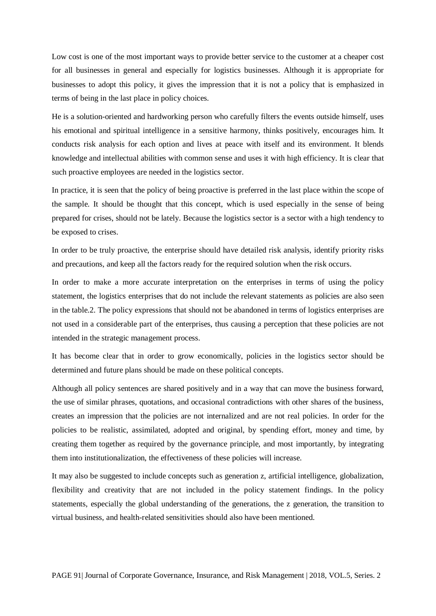Low cost is one of the most important ways to provide better service to the customer at a cheaper cost for all businesses in general and especially for logistics businesses. Although it is appropriate for businesses to adopt this policy, it gives the impression that it is not a policy that is emphasized in terms of being in the last place in policy choices.

He is a solution-oriented and hardworking person who carefully filters the events outside himself, uses his emotional and spiritual intelligence in a sensitive harmony, thinks positively, encourages him. It conducts risk analysis for each option and lives at peace with itself and its environment. It blends knowledge and intellectual abilities with common sense and uses it with high efficiency. It is clear that such proactive employees are needed in the logistics sector.

In practice, it is seen that the policy of being proactive is preferred in the last place within the scope of the sample. It should be thought that this concept, which is used especially in the sense of being prepared for crises, should not be lately. Because the logistics sector is a sector with a high tendency to be exposed to crises.

In order to be truly proactive, the enterprise should have detailed risk analysis, identify priority risks and precautions, and keep all the factors ready for the required solution when the risk occurs.

In order to make a more accurate interpretation on the enterprises in terms of using the policy statement, the logistics enterprises that do not include the relevant statements as policies are also seen in the table.2. The policy expressions that should not be abandoned in terms of logistics enterprises are not used in a considerable part of the enterprises, thus causing a perception that these policies are not intended in the strategic management process.

It has become clear that in order to grow economically, policies in the logistics sector should be determined and future plans should be made on these political concepts.

Although all policy sentences are shared positively and in a way that can move the business forward, the use of similar phrases, quotations, and occasional contradictions with other shares of the business, creates an impression that the policies are not internalized and are not real policies. In order for the policies to be realistic, assimilated, adopted and original, by spending effort, money and time, by creating them together as required by the governance principle, and most importantly, by integrating them into institutionalization, the effectiveness of these policies will increase.

It may also be suggested to include concepts such as generation z, artificial intelligence, globalization, flexibility and creativity that are not included in the policy statement findings. In the policy statements, especially the global understanding of the generations, the z generation, the transition to virtual business, and health-related sensitivities should also have been mentioned.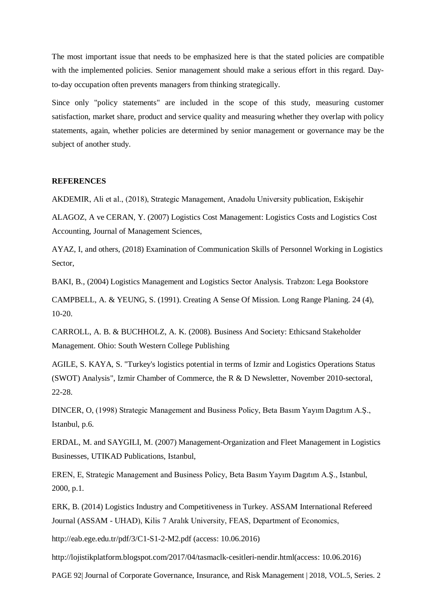The most important issue that needs to be emphasized here is that the stated policies are compatible with the implemented policies. Senior management should make a serious effort in this regard. Dayto-day occupation often prevents managers from thinking strategically.

Since only "policy statements" are included in the scope of this study, measuring customer satisfaction, market share, product and service quality and measuring whether they overlap with policy statements, again, whether policies are determined by senior management or governance may be the subject of another study.

# **REFERENCES**

AKDEMIR, Ali et al., (2018), Strategic Management, Anadolu University publication, Eskişehir

ALAGOZ, A ve CERAN, Y. (2007) Logistics Cost Management: Logistics Costs and Logistics Cost Accounting, Journal of Management Sciences,

AYAZ, I, and others, (2018) Examination of Communication Skills of Personnel Working in Logistics Sector,

BAKI, B., (2004) Logistics Management and Logistics Sector Analysis. Trabzon: Lega Bookstore

CAMPBELL, A. & YEUNG, S. (1991). Creating A Sense Of Mission. Long Range Planing. 24 (4), 10-20.

CARROLL, A. B. & BUCHHOLZ, A. K. (2008). Business And Society: Ethicsand Stakeholder Management. Ohio: South Western College Publishing

AGILE, S. KAYA, S. "Turkey's logistics potential in terms of Izmir and Logistics Operations Status (SWOT) Analysis", Izmir Chamber of Commerce, the R & D Newsletter, November 2010-sectoral, 22-28.

DINCER, O, (1998) Strategic Management and Business Policy, Beta Basım Yayım Dagıtım A.Ş., Istanbul, p.6.

ERDAL, M. and SAYGILI, M. (2007) Management-Organization and Fleet Management in Logistics Businesses, UTIKAD Publications, Istanbul,

EREN, E, Strategic Management and Business Policy, Beta Basım Yayım Dagıtım A.Ş., Istanbul, 2000, p.1.

ERK, B. (2014) Logistics Industry and Competitiveness in Turkey. ASSAM International Refereed Journal (ASSAM - UHAD), Kilis 7 Aralık University, FEAS, Department of Economics,

http://eab.ege.edu.tr/pdf/3/C1-S1-2-M2.pdf (access: 10.06.2016)

http://lojistikplatform.blogspot.com/2017/04/tasmaclk-cesitleri-nendir.html(access: 10.06.2016)

PAGE 92| Journal of Corporate Governance, Insurance, and Risk Management | 2018, VOL.5, Series. 2